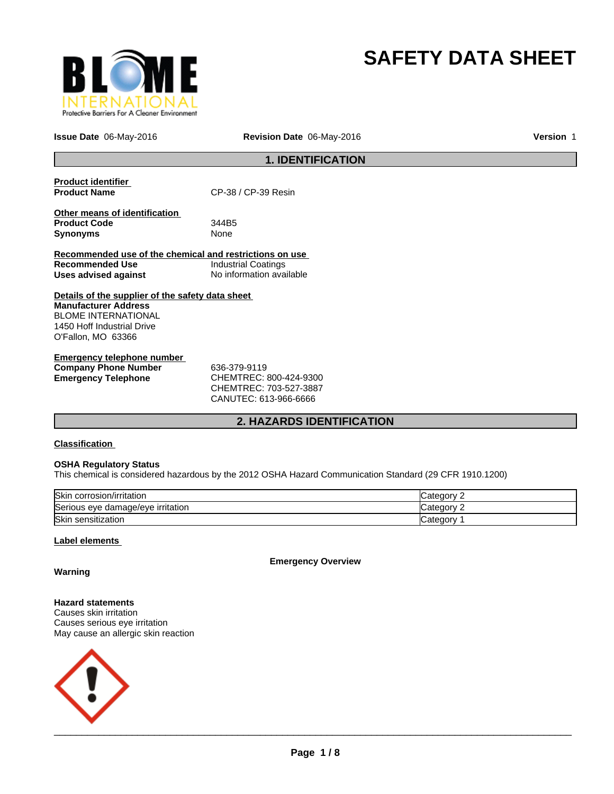

# **SAFETY DATA SHEET**

**Issue Date** 06-May-2016 **Revision Date** 06-May-2016 **Version** 1

## **1. IDENTIFICATION**

| <b>Product identifier</b>                               |                            |
|---------------------------------------------------------|----------------------------|
| <b>Product Name</b>                                     | CP-38 / CP-39 Resin        |
|                                                         |                            |
| Other means of identification                           |                            |
| <b>Product Code</b>                                     | 344B5                      |
| <b>Synonyms</b>                                         | None                       |
|                                                         |                            |
| Recommended use of the chemical and restrictions on use |                            |
| Recommended Use                                         | <b>Industrial Coatings</b> |
| Uses advised against                                    | No information available   |
|                                                         |                            |
| Details of the supplier of the safety data sheet        |                            |
| <b>Manufacturer Address</b>                             |                            |
| <b>BLOME INTERNATIONAL</b>                              |                            |
| 1450 Hoff Industrial Drive                              |                            |
| O'Fallon, MO 63366                                      |                            |
|                                                         |                            |
| Emergency telephone number                              |                            |

| Elliel delicy telepholie huiliber |                        |  |
|-----------------------------------|------------------------|--|
| <b>Company Phone Number</b>       | 636-379-9119           |  |
| Emergency Telephone               | CHEMTREC: 800-424-9300 |  |
|                                   | CHEMTREC: 703-527-3887 |  |

CANUTEC: 613-966-6666

## **2. HAZARDS IDENTIFICATION**

### **Classification**

### **OSHA Regulatory Status**

This chemical is considered hazardous by the 2012 OSHA Hazard Communication Standard (29 CFR 1910.1200)

| Skin<br>corrosion/irritation      | ⊜ategor  |
|-----------------------------------|----------|
| Serious eye damage/eye irritation | : ategor |
| Skin<br>ı sensitization           | ∪ategor∨ |

### **Label elements**

**Emergency Overview**

**Warning**

**Hazard statements** Causes skin irritation Causes serious eye irritation May cause an allergic skin reaction

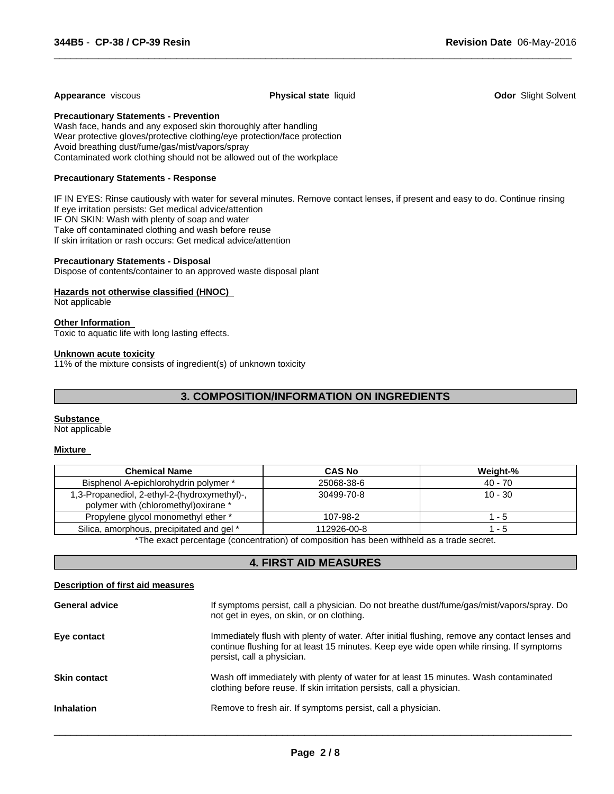### **Appearance** viscous **Physical state** liquid **Odor** Slight Solvent

 $\overline{\phantom{a}}$  ,  $\overline{\phantom{a}}$  ,  $\overline{\phantom{a}}$  ,  $\overline{\phantom{a}}$  ,  $\overline{\phantom{a}}$  ,  $\overline{\phantom{a}}$  ,  $\overline{\phantom{a}}$  ,  $\overline{\phantom{a}}$  ,  $\overline{\phantom{a}}$  ,  $\overline{\phantom{a}}$  ,  $\overline{\phantom{a}}$  ,  $\overline{\phantom{a}}$  ,  $\overline{\phantom{a}}$  ,  $\overline{\phantom{a}}$  ,  $\overline{\phantom{a}}$  ,  $\overline{\phantom{a}}$ 

**Precautionary Statements - Prevention**

Wash face, hands and any exposed skin thoroughly after handling Wear protective gloves/protective clothing/eye protection/face protection Avoid breathing dust/fume/gas/mist/vapors/spray Contaminated work clothing should not be allowed out of the workplace

### **Precautionary Statements - Response**

IF IN EYES: Rinse cautiously with water for several minutes. Remove contact lenses, if present and easy to do. Continue rinsing If eye irritation persists: Get medical advice/attention IF ON SKIN: Wash with plenty of soap and water Take off contaminated clothing and wash before reuse If skin irritation or rash occurs: Get medical advice/attention

### **Precautionary Statements - Disposal**

Dispose of contents/container to an approved waste disposal plant

### **Hazards not otherwise classified (HNOC)**

Not applicable

#### **Other Information**

Toxic to aquatic life with long lasting effects.

#### **Unknown acute toxicity**

11% of the mixture consists of ingredient(s) of unknown toxicity

### **3. COMPOSITION/INFORMATION ON INGREDIENTS**

#### **Substance**

Not applicable

### **Mixture**

| <b>Chemical Name</b>                                                                  | <b>CAS No</b> | Weight-%  |
|---------------------------------------------------------------------------------------|---------------|-----------|
| Bisphenol A-epichlorohydrin polymer *                                                 | 25068-38-6    | 40 - 70   |
| 1,3-Propanediol, 2-ethyl-2-(hydroxymethyl)-,<br>polymer with (chloromethyl) oxirane * | 30499-70-8    | $10 - 30$ |
| Propylene glycol monomethyl ether *                                                   | 107-98-2      | - 5       |
| Silica, amorphous, precipitated and gel *                                             | 112926-00-8   | - 5       |

\*The exact percentage (concentration) of composition has been withheld as a trade secret.

### **4. FIRST AID MEASURES**

#### **Description of first aid measures**

| <b>General advice</b> | If symptoms persist, call a physician. Do not breathe dust/fume/gas/mist/vapors/spray. Do<br>not get in eyes, on skin, or on clothing.                                                                                  |
|-----------------------|-------------------------------------------------------------------------------------------------------------------------------------------------------------------------------------------------------------------------|
| Eye contact           | Immediately flush with plenty of water. After initial flushing, remove any contact lenses and<br>continue flushing for at least 15 minutes. Keep eye wide open while rinsing. If symptoms<br>persist, call a physician. |
| <b>Skin contact</b>   | Wash off immediately with plenty of water for at least 15 minutes. Wash contaminated<br>clothing before reuse. If skin irritation persists, call a physician.                                                           |
| <b>Inhalation</b>     | Remove to fresh air. If symptoms persist, call a physician.                                                                                                                                                             |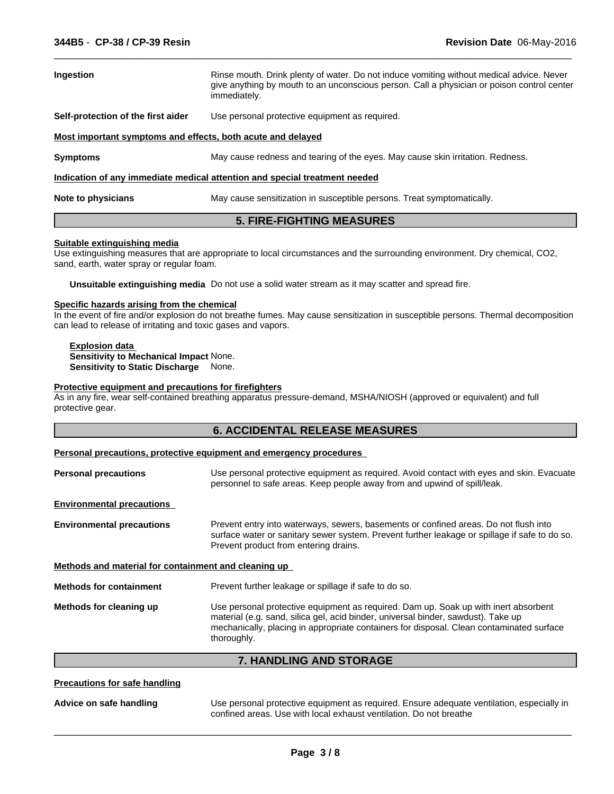| <b>Ingestion</b>                                            | Rinse mouth. Drink plenty of water. Do not induce vomiting without medical advice. Never<br>give anything by mouth to an unconscious person. Call a physician or poison control center<br>immediately. |
|-------------------------------------------------------------|--------------------------------------------------------------------------------------------------------------------------------------------------------------------------------------------------------|
| Self-protection of the first aider                          | Use personal protective equipment as required.                                                                                                                                                         |
| Most important symptoms and effects, both acute and delayed |                                                                                                                                                                                                        |
| <b>Symptoms</b>                                             | May cause redness and tearing of the eyes. May cause skin irritation. Redness.                                                                                                                         |
|                                                             | Indication of any immediate medical attention and special treatment needed                                                                                                                             |
| Note to physicians                                          | May cause sensitization in susceptible persons. Treat symptomatically.                                                                                                                                 |

 $\overline{\phantom{a}}$  ,  $\overline{\phantom{a}}$  ,  $\overline{\phantom{a}}$  ,  $\overline{\phantom{a}}$  ,  $\overline{\phantom{a}}$  ,  $\overline{\phantom{a}}$  ,  $\overline{\phantom{a}}$  ,  $\overline{\phantom{a}}$  ,  $\overline{\phantom{a}}$  ,  $\overline{\phantom{a}}$  ,  $\overline{\phantom{a}}$  ,  $\overline{\phantom{a}}$  ,  $\overline{\phantom{a}}$  ,  $\overline{\phantom{a}}$  ,  $\overline{\phantom{a}}$  ,  $\overline{\phantom{a}}$ 

### **5. FIRE-FIGHTING MEASURES**

### **Suitable extinguishing media**

Use extinguishing measures that are appropriate to local circumstances and the surrounding environment. Dry chemical, CO2, sand, earth, water spray or regular foam.

**Unsuitable extinguishing media** Do not use a solid water stream as it may scatter and spread fire.

#### **Specific hazards arising from the chemical**

In the event of fire and/or explosion do not breathe fumes. May cause sensitization in susceptible persons. Thermal decomposition can lead to release of irritating and toxic gases and vapors.

#### **Explosion data Sensitivity to Mechanical Impact** None. **Sensitivity to Static Discharge** None.

### **Protective equipment and precautions for firefighters**

As in any fire, wear self-contained breathing apparatus pressure-demand, MSHA/NIOSH (approved or equivalent) and full protective gear.

### **Personal precautions, protective equipment and emergency procedures**

| Use personal protective equipment as required. Avoid contact with eyes and skin. Evacuate<br>personnel to safe areas. Keep people away from and upwind of spill/leak.                                                          |
|--------------------------------------------------------------------------------------------------------------------------------------------------------------------------------------------------------------------------------|
|                                                                                                                                                                                                                                |
| Prevent entry into waterways, sewers, basements or confined areas. Do not flush into<br>surface water or sanitary sewer system. Prevent further leakage or spillage if safe to do so.<br>Prevent product from entering drains. |
| Methods and material for containment and cleaning up                                                                                                                                                                           |
| Prevent further leakage or spillage if safe to do so.                                                                                                                                                                          |
| Use personal protective equipment as required. Dam up. Soak up with inert absorbent<br>material (e.g. sand, silica gel, acid binder, universal binder, sawdust). Take up                                                       |
|                                                                                                                                                                                                                                |

**7. HANDLING AND STORAGE**

### **Precautions for safe handling**

**Advice on safe handling** Use personal protective equipment as required. Ensure adequate ventilation, especially in confined areas. Use with local exhaust ventilation. Do not breathe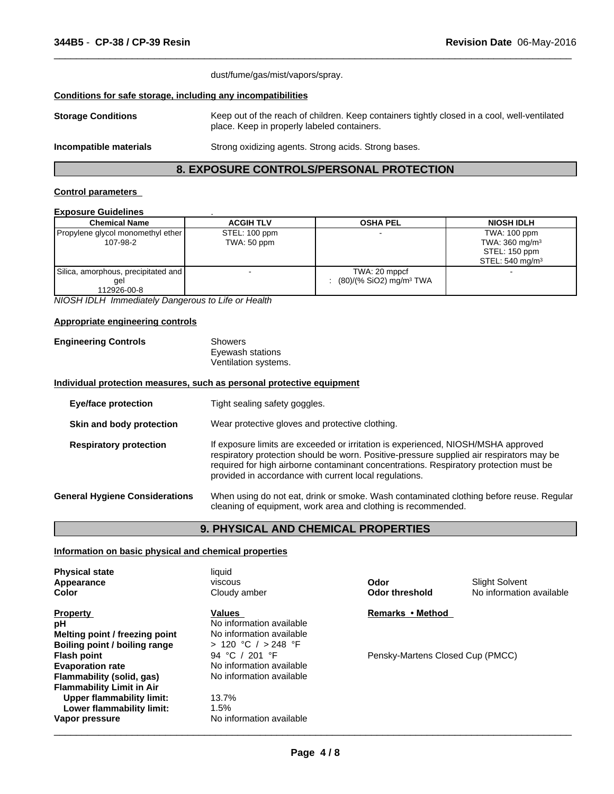|                                                              | dust/fume/gas/mist/vapors/spray.                                                                                                            |  |
|--------------------------------------------------------------|---------------------------------------------------------------------------------------------------------------------------------------------|--|
| Conditions for safe storage, including any incompatibilities |                                                                                                                                             |  |
| <b>Storage Conditions</b>                                    | Keep out of the reach of children. Keep containers tightly closed in a cool, well-ventilated<br>place. Keep in properly labeled containers. |  |
| Incompatible materials                                       | Strong oxidizing agents. Strong acids. Strong bases.                                                                                        |  |

 $\overline{\phantom{a}}$  ,  $\overline{\phantom{a}}$  ,  $\overline{\phantom{a}}$  ,  $\overline{\phantom{a}}$  ,  $\overline{\phantom{a}}$  ,  $\overline{\phantom{a}}$  ,  $\overline{\phantom{a}}$  ,  $\overline{\phantom{a}}$  ,  $\overline{\phantom{a}}$  ,  $\overline{\phantom{a}}$  ,  $\overline{\phantom{a}}$  ,  $\overline{\phantom{a}}$  ,  $\overline{\phantom{a}}$  ,  $\overline{\phantom{a}}$  ,  $\overline{\phantom{a}}$  ,  $\overline{\phantom{a}}$ 

### **8. EXPOSURE CONTROLS/PERSONAL PROTECTION**

### **Control parameters**

### **Exposure Guidelines** .

| <b>Chemical Name</b>                                      | <b>ACGIH TLV</b>             | <b>OSHA PEL</b>                                        | <b>NIOSH IDLH</b>                                                                        |
|-----------------------------------------------------------|------------------------------|--------------------------------------------------------|------------------------------------------------------------------------------------------|
| Propylene glycol monomethyl ether  <br>107-98-2           | STEL: 100 ppm<br>TWA: 50 ppm |                                                        | TWA: 100 ppm<br>TWA: $360 \text{ mg/m}^3$<br>STEL: 150 ppm<br>STEL: $540 \text{ mg/m}^3$ |
| Silica, amorphous, precipitated and<br>gel<br>112926-00-8 |                              | TWA: 20 mppcf<br>$(80)/(%$ SiO2) mg/m <sup>3</sup> TWA |                                                                                          |

*NIOSH IDLH Immediately Dangerous to Life or Health*

### **Appropriate engineering controls**

| <b>Engineering Controls</b> | Showers              |  |
|-----------------------------|----------------------|--|
|                             | Eyewash stations     |  |
|                             | Ventilation systems. |  |

#### **Individual protection measures, such as personal protective equipment**

| <b>Eye/face protection</b>            | Tight sealing safety goggles.                                                                                                                                                                                                                                                                                                    |
|---------------------------------------|----------------------------------------------------------------------------------------------------------------------------------------------------------------------------------------------------------------------------------------------------------------------------------------------------------------------------------|
| Skin and body protection              | Wear protective gloves and protective clothing.                                                                                                                                                                                                                                                                                  |
| <b>Respiratory protection</b>         | If exposure limits are exceeded or irritation is experienced, NIOSH/MSHA approved<br>respiratory protection should be worn. Positive-pressure supplied air respirators may be<br>required for high airborne contaminant concentrations. Respiratory protection must be<br>provided in accordance with current local regulations. |
| <b>General Hygiene Considerations</b> | When using do not eat, drink or smoke. Wash contaminated clothing before reuse. Regular<br>cleaning of equipment, work area and clothing is recommended.                                                                                                                                                                         |

### **9. PHYSICAL AND CHEMICAL PROPERTIES**

### **Information on basic physical and chemical properties**

| <b>Physical state</b><br>Appearance<br>Color | liquid<br><b>viscous</b><br>Cloudy amber | Odor<br>Odor threshold           | <b>Slight Solvent</b><br>No information available |
|----------------------------------------------|------------------------------------------|----------------------------------|---------------------------------------------------|
| <b>Property</b>                              | Values                                   | Remarks • Method                 |                                                   |
| рH                                           | No information available                 |                                  |                                                   |
| Melting point / freezing point               | No information available                 |                                  |                                                   |
| Boiling point / boiling range                | > 120 °C / > 248 °F                      |                                  |                                                   |
| <b>Flash point</b>                           | 94 °C / 201 °F                           | Pensky-Martens Closed Cup (PMCC) |                                                   |
| <b>Evaporation rate</b>                      | No information available                 |                                  |                                                   |
| Flammability (solid, gas)                    | No information available                 |                                  |                                                   |
| <b>Flammability Limit in Air</b>             |                                          |                                  |                                                   |
| <b>Upper flammability limit:</b>             | 13.7%                                    |                                  |                                                   |
| Lower flammability limit:                    | 1.5%                                     |                                  |                                                   |
| Vapor pressure                               | No information available                 |                                  |                                                   |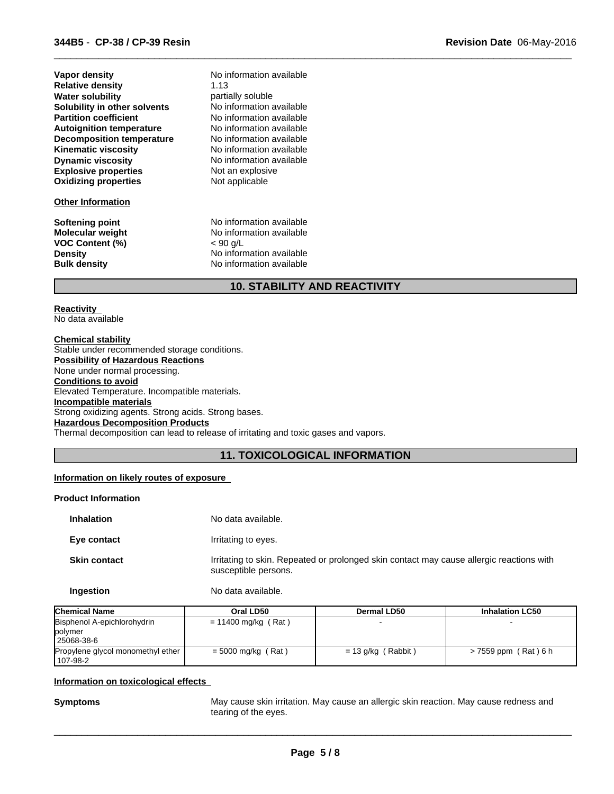| <b>Relative density</b><br>1.13<br><b>Water solubility</b><br>partially soluble<br>No information available<br>Solubility in other solvents<br>No information available<br><b>Partition coefficient</b><br>No information available<br><b>Autoignition temperature</b><br><b>Decomposition temperature</b><br>No information available<br><b>Kinematic viscosity</b><br>No information available<br><b>Dynamic viscosity</b><br>No information available<br><b>Explosive properties</b><br>Not an explosive | Vapor density               | No information available |
|-------------------------------------------------------------------------------------------------------------------------------------------------------------------------------------------------------------------------------------------------------------------------------------------------------------------------------------------------------------------------------------------------------------------------------------------------------------------------------------------------------------|-----------------------------|--------------------------|
|                                                                                                                                                                                                                                                                                                                                                                                                                                                                                                             |                             |                          |
|                                                                                                                                                                                                                                                                                                                                                                                                                                                                                                             |                             |                          |
|                                                                                                                                                                                                                                                                                                                                                                                                                                                                                                             |                             |                          |
|                                                                                                                                                                                                                                                                                                                                                                                                                                                                                                             |                             |                          |
|                                                                                                                                                                                                                                                                                                                                                                                                                                                                                                             |                             |                          |
|                                                                                                                                                                                                                                                                                                                                                                                                                                                                                                             |                             |                          |
|                                                                                                                                                                                                                                                                                                                                                                                                                                                                                                             |                             |                          |
|                                                                                                                                                                                                                                                                                                                                                                                                                                                                                                             |                             |                          |
|                                                                                                                                                                                                                                                                                                                                                                                                                                                                                                             |                             |                          |
|                                                                                                                                                                                                                                                                                                                                                                                                                                                                                                             | <b>Oxidizing properties</b> | Not applicable           |

### **Other Information**

**Softening point** No information available **VOC Content (%)** 

**Molecular weight** No information available<br>VOC Content (%) <br> $< 90 \text{ q/L}$ **Density Construction Construction Available**<br> **Bulk density No information available No information available** 

### **10. STABILITY AND REACTIVITY**

 $\overline{\phantom{a}}$  ,  $\overline{\phantom{a}}$  ,  $\overline{\phantom{a}}$  ,  $\overline{\phantom{a}}$  ,  $\overline{\phantom{a}}$  ,  $\overline{\phantom{a}}$  ,  $\overline{\phantom{a}}$  ,  $\overline{\phantom{a}}$  ,  $\overline{\phantom{a}}$  ,  $\overline{\phantom{a}}$  ,  $\overline{\phantom{a}}$  ,  $\overline{\phantom{a}}$  ,  $\overline{\phantom{a}}$  ,  $\overline{\phantom{a}}$  ,  $\overline{\phantom{a}}$  ,  $\overline{\phantom{a}}$ 

### **Reactivity**

No data available

**Chemical stability** Stable under recommended storage conditions. **Possibility of Hazardous Reactions** None under normal processing. **Conditions to avoid** Elevated Temperature. Incompatible materials. **Incompatible materials** Strong oxidizing agents. Strong acids. Strong bases. **Hazardous Decomposition Products** Thermal decomposition can lead to release of irritating and toxic gases and vapors.

### **11. TOXICOLOGICAL INFORMATION**

### **Information on likely routes of exposure**

### **Product Information**

| <b>Inhalation</b>   | No data available.                                                                                               |
|---------------------|------------------------------------------------------------------------------------------------------------------|
| Eye contact         | Irritating to eyes.                                                                                              |
| <b>Skin contact</b> | Irritating to skin. Repeated or prolonged skin contact may cause allergic reactions with<br>susceptible persons. |
| Ingestion           | No data available.                                                                                               |

| <b>Chemical Name</b>                          | Oral LD50             | Dermal LD50          | <b>Inhalation LC50</b> |
|-----------------------------------------------|-----------------------|----------------------|------------------------|
| Bisphenol A-epichlorohydrin                   | $= 11400$ mg/kg (Rat) |                      |                        |
| polymer<br>25068-38-6                         |                       |                      |                        |
| Propylene glycol monomethyl ether<br>107-98-2 | $=$ 5000 mg/kg (Rat)  | $= 13$ g/kg (Rabbit) | > 7559 ppm (Rat) 6 h   |

### **Information on toxicological effects**

**Symptoms** May cause skin irritation. May cause an allergic skin reaction. May cause redness and tearing of the eyes.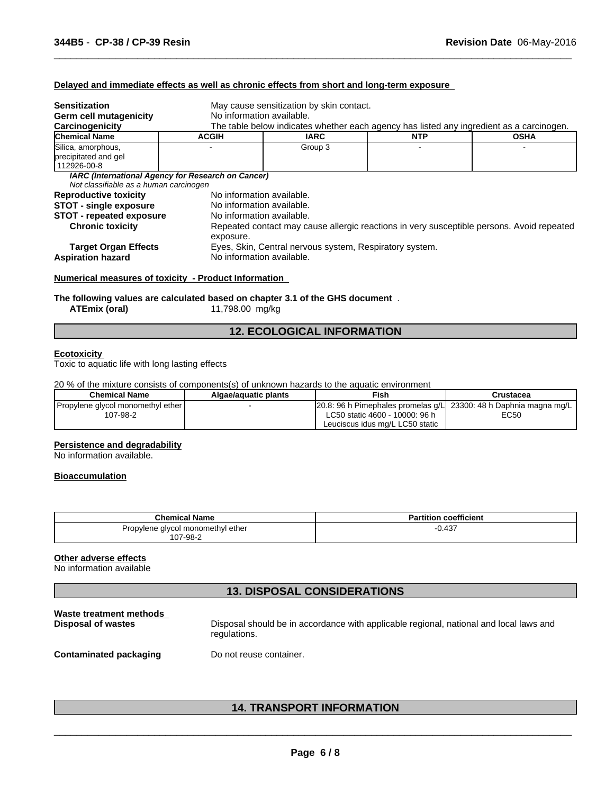### **Delayed and immediate effects as well as chronic effects from short and long-term exposure**

| <b>Sensitization</b>                   | May cause sensitization by skin contact.           |                                                                                                                       |            |                                                                                           |  |
|----------------------------------------|----------------------------------------------------|-----------------------------------------------------------------------------------------------------------------------|------------|-------------------------------------------------------------------------------------------|--|
| <b>Germ cell mutagenicity</b>          |                                                    | No information available.<br>The table below indicates whether each agency has listed any ingredient as a carcinogen. |            |                                                                                           |  |
| Carcinogenicity                        |                                                    |                                                                                                                       |            |                                                                                           |  |
| <b>Chemical Name</b>                   | <b>ACGIH</b>                                       | <b>IARC</b>                                                                                                           | <b>NTP</b> | <b>OSHA</b>                                                                               |  |
| Silica, amorphous,                     |                                                    | Group 3                                                                                                               |            |                                                                                           |  |
| precipitated and gel                   |                                                    |                                                                                                                       |            |                                                                                           |  |
| 112926-00-8                            |                                                    |                                                                                                                       |            |                                                                                           |  |
|                                        | IARC (International Agency for Research on Cancer) |                                                                                                                       |            |                                                                                           |  |
| Not classifiable as a human carcinogen |                                                    |                                                                                                                       |            |                                                                                           |  |
| <b>Reproductive toxicity</b>           |                                                    | No information available.                                                                                             |            |                                                                                           |  |
| <b>STOT - single exposure</b>          | No information available.                          |                                                                                                                       |            |                                                                                           |  |
| <b>STOT - repeated exposure</b>        |                                                    | No information available.                                                                                             |            |                                                                                           |  |
| <b>Chronic toxicity</b>                |                                                    |                                                                                                                       |            | Repeated contact may cause allergic reactions in very susceptible persons. Avoid repeated |  |
|                                        | exposure.                                          |                                                                                                                       |            |                                                                                           |  |
|                                        |                                                    | Eyes, Skin, Central nervous system, Respiratory system.                                                               |            |                                                                                           |  |
| <b>Target Organ Effects</b>            |                                                    |                                                                                                                       |            |                                                                                           |  |
| <b>Aspiration hazard</b>               | No information available.                          |                                                                                                                       |            |                                                                                           |  |

 $\overline{\phantom{a}}$  ,  $\overline{\phantom{a}}$  ,  $\overline{\phantom{a}}$  ,  $\overline{\phantom{a}}$  ,  $\overline{\phantom{a}}$  ,  $\overline{\phantom{a}}$  ,  $\overline{\phantom{a}}$  ,  $\overline{\phantom{a}}$  ,  $\overline{\phantom{a}}$  ,  $\overline{\phantom{a}}$  ,  $\overline{\phantom{a}}$  ,  $\overline{\phantom{a}}$  ,  $\overline{\phantom{a}}$  ,  $\overline{\phantom{a}}$  ,  $\overline{\phantom{a}}$  ,  $\overline{\phantom{a}}$ 

#### **Numerical measures of toxicity - Product Information**

**The following values are calculated based on chapter 3.1 of the GHS document** .

**ATEmix (oral)** 11,798.00 mg/kg

### **12. ECOLOGICAL INFORMATION**

#### **Ecotoxicity**

Toxic to aquatic life with long lasting effects

### 20 % of the mixture consists of components(s) of unknown hazards to the aquatic environment

| <b>Chemical Name</b>                          | Algae/aquatic plants | Fish                                                                                                        | Crustacea |
|-----------------------------------------------|----------------------|-------------------------------------------------------------------------------------------------------------|-----------|
| Propylene glycol monomethyl ether<br>107-98-2 |                      | $\vert$ 20.8: 96 h Pimephales promelas q/L 23300: 48 h Daphnia magna mg/L<br>LC50 static 4600 - 10000: 96 h | EC50      |
|                                               |                      | Leuciscus idus mg/L LC50 static                                                                             |           |

#### **Persistence and degradability**

No information available.

#### **Bioaccumulation**

| <b>Chemical Name</b>              | <b>Partition coefficient</b> |
|-----------------------------------|------------------------------|
| Propylene glycol monomethyl ether | $-0.437$                     |
| 107-98-2                          |                              |

#### **Other adverse effects**

No information available

### **13. DISPOSAL CONSIDERATIONS**

| Waste treatment methods       | Disposal should be in accordance with applicable regional, national and local laws and |
|-------------------------------|----------------------------------------------------------------------------------------|
| Disposal of wastes            | regulations.                                                                           |
| <b>Contaminated packaging</b> | Do not reuse container.                                                                |

### **14. TRANSPORT INFORMATION**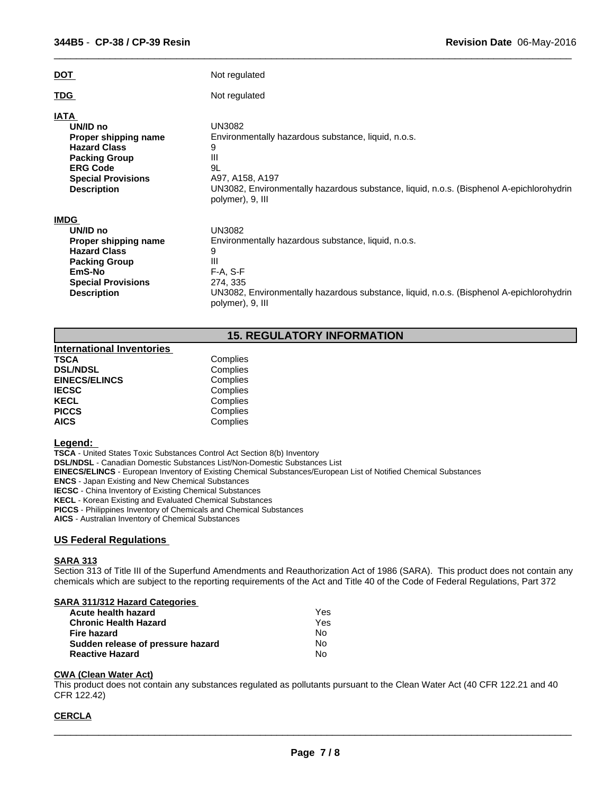| <u>DOT</u>                                                                                                                                                           | Not regulated                                                                                                                                                                                                            |
|----------------------------------------------------------------------------------------------------------------------------------------------------------------------|--------------------------------------------------------------------------------------------------------------------------------------------------------------------------------------------------------------------------|
| <b>TDG</b>                                                                                                                                                           | Not regulated                                                                                                                                                                                                            |
| <b>IATA</b><br>UN/ID no<br>Proper shipping name<br><b>Hazard Class</b><br><b>Packing Group</b><br><b>ERG Code</b><br><b>Special Provisions</b><br><b>Description</b> | <b>UN3082</b><br>Environmentally hazardous substance, liquid, n.o.s.<br>9<br>Ш<br>9L<br>A97, A158, A197<br>UN3082, Environmentally hazardous substance, liquid, n.o.s. (Bisphenol A-epichlorohydrin<br>polymer), 9, III  |
| <b>IMDG</b><br>UN/ID no<br>Proper shipping name<br><b>Hazard Class</b><br><b>Packing Group</b><br>EmS-No<br><b>Special Provisions</b><br><b>Description</b>          | <b>UN3082</b><br>Environmentally hazardous substance, liquid, n.o.s.<br>9<br>Ш<br>$F-A, S-F$<br>274, 335<br>UN3082, Environmentally hazardous substance, liquid, n.o.s. (Bisphenol A-epichlorohydrin<br>polymer), 9, III |

 $\overline{\phantom{a}}$  ,  $\overline{\phantom{a}}$  ,  $\overline{\phantom{a}}$  ,  $\overline{\phantom{a}}$  ,  $\overline{\phantom{a}}$  ,  $\overline{\phantom{a}}$  ,  $\overline{\phantom{a}}$  ,  $\overline{\phantom{a}}$  ,  $\overline{\phantom{a}}$  ,  $\overline{\phantom{a}}$  ,  $\overline{\phantom{a}}$  ,  $\overline{\phantom{a}}$  ,  $\overline{\phantom{a}}$  ,  $\overline{\phantom{a}}$  ,  $\overline{\phantom{a}}$  ,  $\overline{\phantom{a}}$ 

### **15. REGULATORY INFORMATION**

| <b>International Inventories</b> |          |
|----------------------------------|----------|
| <b>TSCA</b>                      | Complies |
| <b>DSL/NDSL</b>                  | Complies |
| <b>EINECS/ELINCS</b>             | Complies |
| <b>IECSC</b>                     | Complies |
| <b>KECL</b>                      | Complies |
| <b>PICCS</b>                     | Complies |
| <b>AICS</b>                      | Complies |
|                                  |          |

#### **Legend:**

**TSCA** - United States Toxic Substances Control Act Section 8(b) Inventory

**DSL/NDSL** - Canadian Domestic Substances List/Non-Domestic Substances List

**EINECS/ELINCS** - European Inventory of Existing Chemical Substances/European List of Notified Chemical Substances

**ENCS** - Japan Existing and New Chemical Substances

**IECSC** - China Inventory of Existing Chemical Substances

**KECL** - Korean Existing and Evaluated Chemical Substances

**PICCS** - Philippines Inventory of Chemicals and Chemical Substances

**AICS** - Australian Inventory of Chemical Substances

### **US Federal Regulations**

### **SARA 313**

Section 313 of Title III of the Superfund Amendments and Reauthorization Act of 1986 (SARA). This product does not contain any chemicals which are subject to the reporting requirements of the Act and Title 40 of the Code of Federal Regulations, Part 372

### **SARA 311/312 Hazard Categories**

| Acute health hazard               | Yes |  |
|-----------------------------------|-----|--|
| Chronic Health Hazard             | Yes |  |
| Fire hazard                       | No. |  |
| Sudden release of pressure hazard | No. |  |
| <b>Reactive Hazard</b>            | N٥  |  |

### **CWA (Clean Water Act)**

This product does not contain any substances regulated as pollutants pursuant to the Clean Water Act (40 CFR 122.21 and 40 CFR 122.42)

### **CERCLA**